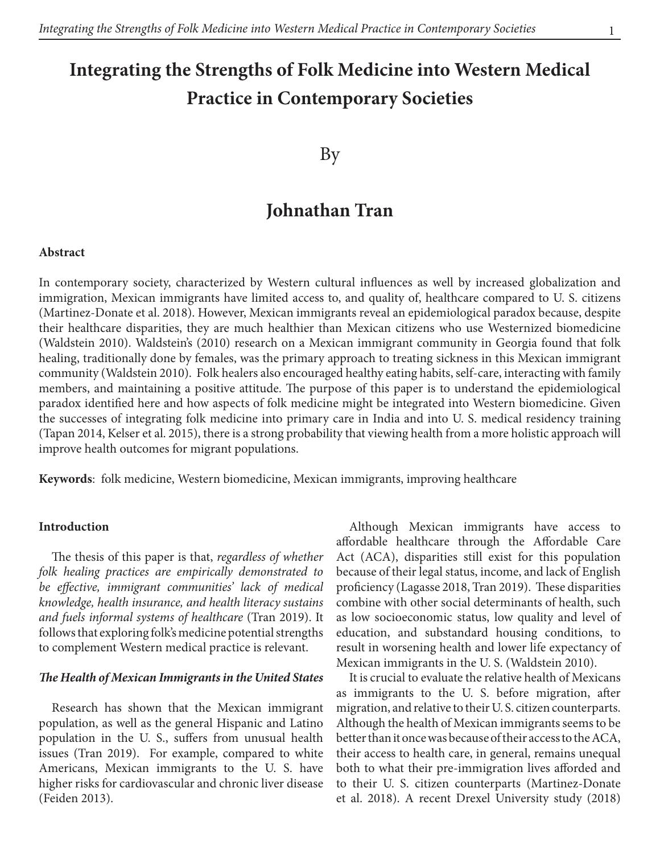# **Integrating the Strengths of Folk Medicine into Western Medical Practice in Contemporary Societies**

### By

## **Johnathan Tran**

#### **Abstract**

In contemporary society, characterized by Western cultural influences as well by increased globalization and immigration, Mexican immigrants have limited access to, and quality of, healthcare compared to U. S. citizens (Martinez-Donate et al. 2018). However, Mexican immigrants reveal an epidemiological paradox because, despite their healthcare disparities, they are much healthier than Mexican citizens who use Westernized biomedicine (Waldstein 2010). Waldstein's (2010) research on a Mexican immigrant community in Georgia found that folk healing, traditionally done by females, was the primary approach to treating sickness in this Mexican immigrant community (Waldstein 2010). Folk healers also encouraged healthy eating habits, self-care, interacting with family members, and maintaining a positive attitude. The purpose of this paper is to understand the epidemiological paradox identified here and how aspects of folk medicine might be integrated into Western biomedicine. Given the successes of integrating folk medicine into primary care in India and into U. S. medical residency training (Tapan 2014, Kelser et al. 2015), there is a strong probability that viewing health from a more holistic approach will improve health outcomes for migrant populations.

**Keywords**: folk medicine, Western biomedicine, Mexican immigrants, improving healthcare

#### **Introduction**

The thesis of this paper is that, *regardless of whether folk healing practices are empirically demonstrated to be effective, immigrant communities' lack of medical knowledge, health insurance, and health literacy sustains and fuels informal systems of healthcare* (Tran 2019). It follows that exploring folk's medicine potential strengths to complement Western medical practice is relevant.

#### *The Health of Mexican Immigrants in the United States*

Research has shown that the Mexican immigrant population, as well as the general Hispanic and Latino population in the U. S., suffers from unusual health issues (Tran 2019). For example, compared to white Americans, Mexican immigrants to the U. S. have higher risks for cardiovascular and chronic liver disease (Feiden 2013).

Although Mexican immigrants have access to affordable healthcare through the Affordable Care Act (ACA), disparities still exist for this population because of their legal status, income, and lack of English proficiency (Lagasse 2018, Tran 2019). These disparities combine with other social determinants of health, such as low socioeconomic status, low quality and level of education, and substandard housing conditions, to result in worsening health and lower life expectancy of Mexican immigrants in the U. S. (Waldstein 2010).

It is crucial to evaluate the relative health of Mexicans as immigrants to the U. S. before migration, after migration, and relative to their U. S. citizen counterparts. Although the health of Mexican immigrants seems to be better than it once was because of their access to the ACA, their access to health care, in general, remains unequal both to what their pre-immigration lives afforded and to their U. S. citizen counterparts (Martinez-Donate et al. 2018). A recent Drexel University study (2018)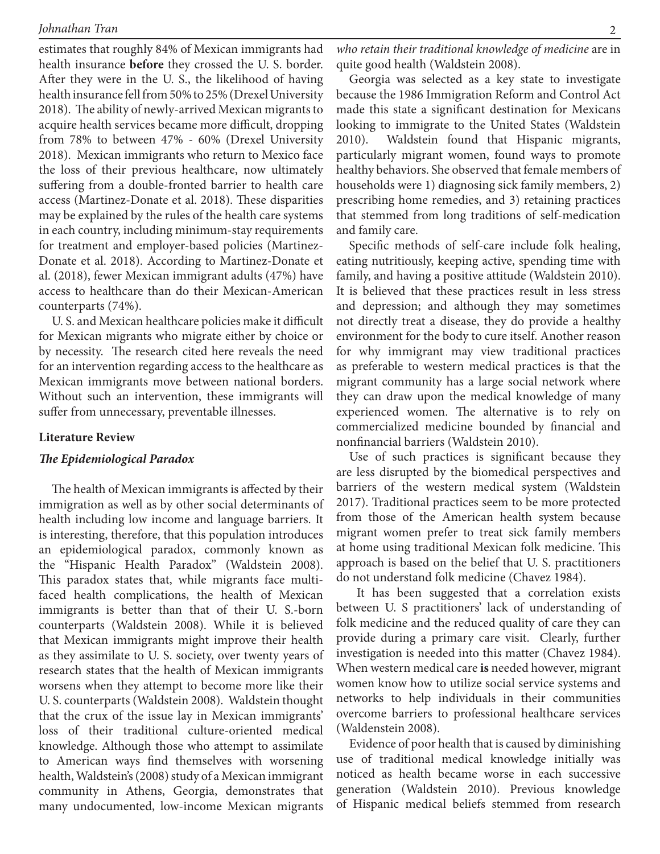estimates that roughly 84% of Mexican immigrants had health insurance **before** they crossed the U. S. border. After they were in the U. S., the likelihood of having health insurance fell from 50% to 25% (Drexel University 2018). The ability of newly-arrived Mexican migrants to acquire health services became more difficult, dropping from 78% to between 47% - 60% (Drexel University 2018). Mexican immigrants who return to Mexico face the loss of their previous healthcare, now ultimately suffering from a double-fronted barrier to health care access (Martinez-Donate et al. 2018). These disparities may be explained by the rules of the health care systems in each country, including minimum-stay requirements for treatment and employer-based policies (Martinez-Donate et al. 2018). According to Martinez-Donate et al. (2018), fewer Mexican immigrant adults (47%) have access to healthcare than do their Mexican-American counterparts (74%).

U. S. and Mexican healthcare policies make it difficult for Mexican migrants who migrate either by choice or by necessity. The research cited here reveals the need for an intervention regarding access to the healthcare as Mexican immigrants move between national borders. Without such an intervention, these immigrants will suffer from unnecessary, preventable illnesses.

#### **Literature Review**

#### *The Epidemiological Paradox*

The health of Mexican immigrants is affected by their immigration as well as by other social determinants of health including low income and language barriers. It is interesting, therefore, that this population introduces an epidemiological paradox, commonly known as the "Hispanic Health Paradox" (Waldstein 2008). This paradox states that, while migrants face multifaced health complications, the health of Mexican immigrants is better than that of their U. S.-born counterparts (Waldstein 2008). While it is believed that Mexican immigrants might improve their health as they assimilate to U. S. society, over twenty years of research states that the health of Mexican immigrants worsens when they attempt to become more like their U. S. counterparts (Waldstein 2008). Waldstein thought that the crux of the issue lay in Mexican immigrants' loss of their traditional culture-oriented medical knowledge. Although those who attempt to assimilate to American ways find themselves with worsening health, Waldstein's (2008) study of a Mexican immigrant community in Athens, Georgia, demonstrates that many undocumented, low-income Mexican migrants

Georgia was selected as a key state to investigate because the 1986 Immigration Reform and Control Act made this state a significant destination for Mexicans looking to immigrate to the United States (Waldstein 2010). Waldstein found that Hispanic migrants, particularly migrant women, found ways to promote healthy behaviors. She observed that female members of households were 1) diagnosing sick family members, 2) prescribing home remedies, and 3) retaining practices that stemmed from long traditions of self-medication and family care.

Specific methods of self-care include folk healing, eating nutritiously, keeping active, spending time with family, and having a positive attitude (Waldstein 2010). It is believed that these practices result in less stress and depression; and although they may sometimes not directly treat a disease, they do provide a healthy environment for the body to cure itself. Another reason for why immigrant may view traditional practices as preferable to western medical practices is that the migrant community has a large social network where they can draw upon the medical knowledge of many experienced women. The alternative is to rely on commercialized medicine bounded by financial and nonfinancial barriers (Waldstein 2010).

Use of such practices is significant because they are less disrupted by the biomedical perspectives and barriers of the western medical system (Waldstein 2017). Traditional practices seem to be more protected from those of the American health system because migrant women prefer to treat sick family members at home using traditional Mexican folk medicine. This approach is based on the belief that U. S. practitioners do not understand folk medicine (Chavez 1984).

 It has been suggested that a correlation exists between U. S practitioners' lack of understanding of folk medicine and the reduced quality of care they can provide during a primary care visit. Clearly, further investigation is needed into this matter (Chavez 1984). When western medical care **is** needed however, migrant women know how to utilize social service systems and networks to help individuals in their communities overcome barriers to professional healthcare services (Waldenstein 2008).

Evidence of poor health that is caused by diminishing use of traditional medical knowledge initially was noticed as health became worse in each successive generation (Waldstein 2010). Previous knowledge of Hispanic medical beliefs stemmed from research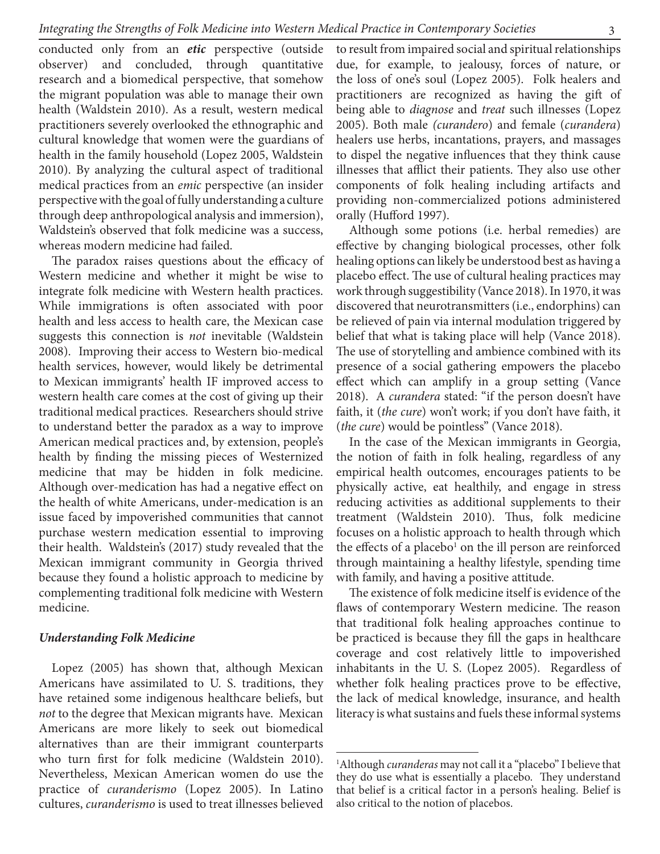conducted only from an *etic* perspective (outside observer) and concluded, through quantitative research and a biomedical perspective, that somehow the migrant population was able to manage their own health (Waldstein 2010). As a result, western medical practitioners severely overlooked the ethnographic and cultural knowledge that women were the guardians of health in the family household (Lopez 2005, Waldstein 2010). By analyzing the cultural aspect of traditional medical practices from an *emic* perspective (an insider perspective with the goal of fully understanding a culture through deep anthropological analysis and immersion), Waldstein's observed that folk medicine was a success, whereas modern medicine had failed.

The paradox raises questions about the efficacy of Western medicine and whether it might be wise to integrate folk medicine with Western health practices. While immigrations is often associated with poor health and less access to health care, the Mexican case suggests this connection is *not* inevitable (Waldstein 2008). Improving their access to Western bio-medical health services, however, would likely be detrimental to Mexican immigrants' health IF improved access to western health care comes at the cost of giving up their traditional medical practices. Researchers should strive to understand better the paradox as a way to improve American medical practices and, by extension, people's health by finding the missing pieces of Westernized medicine that may be hidden in folk medicine. Although over-medication has had a negative effect on the health of white Americans, under-medication is an issue faced by impoverished communities that cannot purchase western medication essential to improving their health. Waldstein's (2017) study revealed that the Mexican immigrant community in Georgia thrived because they found a holistic approach to medicine by complementing traditional folk medicine with Western medicine.

#### *Understanding Folk Medicine*

Lopez (2005) has shown that, although Mexican Americans have assimilated to U. S. traditions, they have retained some indigenous healthcare beliefs, but *not* to the degree that Mexican migrants have. Mexican Americans are more likely to seek out biomedical alternatives than are their immigrant counterparts who turn first for folk medicine (Waldstein 2010). Nevertheless, Mexican American women do use the practice of *curanderismo* (Lopez 2005). In Latino cultures, *curanderismo* is used to treat illnesses believed

to result from impaired social and spiritual relationships due, for example, to jealousy, forces of nature, or the loss of one's soul (Lopez 2005). Folk healers and practitioners are recognized as having the gift of being able to *diagnose* and *treat* such illnesses (Lopez 2005). Both male *(curandero*) and female (*curandera*) healers use herbs, incantations, prayers, and massages to dispel the negative influences that they think cause illnesses that afflict their patients. They also use other components of folk healing including artifacts and providing non-commercialized potions administered orally (Hufford 1997).

Although some potions (i.e. herbal remedies) are effective by changing biological processes, other folk healing options can likely be understood best as having a placebo effect. The use of cultural healing practices may work through suggestibility (Vance 2018). In 1970, it was discovered that neurotransmitters (i.e., endorphins) can be relieved of pain via internal modulation triggered by belief that what is taking place will help (Vance 2018). The use of storytelling and ambience combined with its presence of a social gathering empowers the placebo effect which can amplify in a group setting (Vance 2018). A *curandera* stated: "if the person doesn't have faith, it (*the cure*) won't work; if you don't have faith, it (*the cure*) would be pointless" (Vance 2018).

In the case of the Mexican immigrants in Georgia, the notion of faith in folk healing, regardless of any empirical health outcomes, encourages patients to be physically active, eat healthily, and engage in stress reducing activities as additional supplements to their treatment (Waldstein 2010). Thus, folk medicine focuses on a holistic approach to health through which the effects of a placebo<sup>1</sup> on the ill person are reinforced through maintaining a healthy lifestyle, spending time with family, and having a positive attitude.

The existence of folk medicine itself is evidence of the flaws of contemporary Western medicine. The reason that traditional folk healing approaches continue to be practiced is because they fill the gaps in healthcare coverage and cost relatively little to impoverished inhabitants in the U. S. (Lopez 2005). Regardless of whether folk healing practices prove to be effective, the lack of medical knowledge, insurance, and health literacy is what sustains and fuels these informal systems

<sup>1</sup> Although *curanderas* may not call it a "placebo" I believe that they do use what is essentially a placebo. They understand that belief is a critical factor in a person's healing. Belief is also critical to the notion of placebos.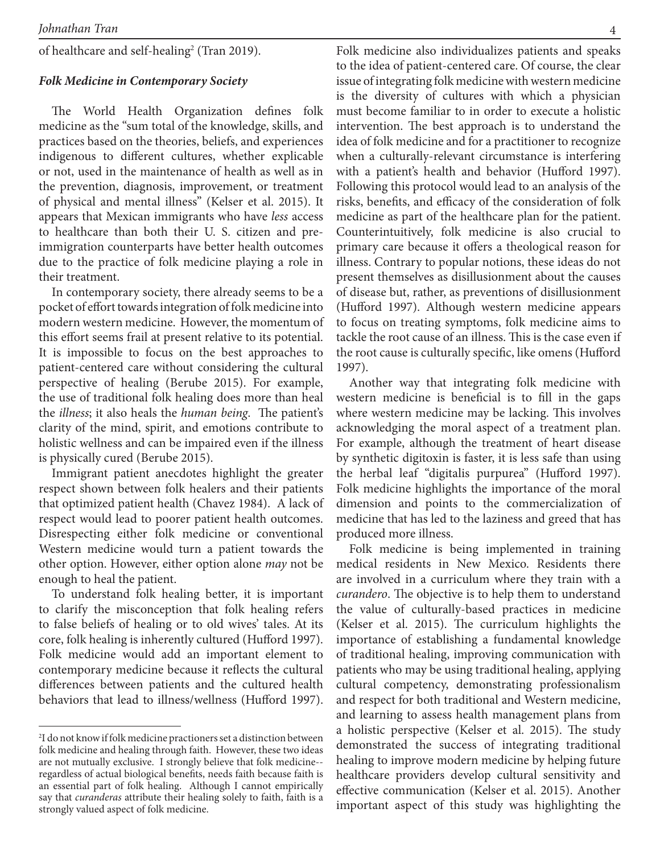of healthcare and self-healing<sup>2</sup> (Tran 2019).

#### *Folk Medicine in Contemporary Society*

The World Health Organization defines folk medicine as the "sum total of the knowledge, skills, and practices based on the theories, beliefs, and experiences indigenous to different cultures, whether explicable or not, used in the maintenance of health as well as in the prevention, diagnosis, improvement, or treatment of physical and mental illness" (Kelser et al. 2015). It appears that Mexican immigrants who have *less* access to healthcare than both their U. S. citizen and preimmigration counterparts have better health outcomes due to the practice of folk medicine playing a role in their treatment.

In contemporary society, there already seems to be a pocket of effort towards integration of folk medicine into modern western medicine. However, the momentum of this effort seems frail at present relative to its potential. It is impossible to focus on the best approaches to patient-centered care without considering the cultural perspective of healing (Berube 2015). For example, the use of traditional folk healing does more than heal the *illness*; it also heals the *human being*. The patient's clarity of the mind, spirit, and emotions contribute to holistic wellness and can be impaired even if the illness is physically cured (Berube 2015).

Immigrant patient anecdotes highlight the greater respect shown between folk healers and their patients that optimized patient health (Chavez 1984). A lack of respect would lead to poorer patient health outcomes. Disrespecting either folk medicine or conventional Western medicine would turn a patient towards the other option. However, either option alone *may* not be enough to heal the patient.

To understand folk healing better, it is important to clarify the misconception that folk healing refers to false beliefs of healing or to old wives' tales. At its core, folk healing is inherently cultured (Hufford 1997). Folk medicine would add an important element to contemporary medicine because it reflects the cultural differences between patients and the cultured health behaviors that lead to illness/wellness (Hufford 1997).

Folk medicine also individualizes patients and speaks to the idea of patient-centered care. Of course, the clear issue of integrating folk medicine with western medicine is the diversity of cultures with which a physician must become familiar to in order to execute a holistic intervention. The best approach is to understand the idea of folk medicine and for a practitioner to recognize when a culturally-relevant circumstance is interfering with a patient's health and behavior (Hufford 1997). Following this protocol would lead to an analysis of the risks, benefits, and efficacy of the consideration of folk medicine as part of the healthcare plan for the patient. Counterintuitively, folk medicine is also crucial to primary care because it offers a theological reason for illness. Contrary to popular notions, these ideas do not present themselves as disillusionment about the causes of disease but, rather, as preventions of disillusionment (Hufford 1997). Although western medicine appears to focus on treating symptoms, folk medicine aims to tackle the root cause of an illness. This is the case even if the root cause is culturally specific, like omens (Hufford 1997).

Another way that integrating folk medicine with western medicine is beneficial is to fill in the gaps where western medicine may be lacking. This involves acknowledging the moral aspect of a treatment plan. For example, although the treatment of heart disease by synthetic digitoxin is faster, it is less safe than using the herbal leaf "digitalis purpurea" (Hufford 1997). Folk medicine highlights the importance of the moral dimension and points to the commercialization of medicine that has led to the laziness and greed that has produced more illness.

Folk medicine is being implemented in training medical residents in New Mexico. Residents there are involved in a curriculum where they train with a *curandero*. The objective is to help them to understand the value of culturally-based practices in medicine (Kelser et al. 2015). The curriculum highlights the importance of establishing a fundamental knowledge of traditional healing, improving communication with patients who may be using traditional healing, applying cultural competency, demonstrating professionalism and respect for both traditional and Western medicine, and learning to assess health management plans from a holistic perspective (Kelser et al. 2015). The study demonstrated the success of integrating traditional healing to improve modern medicine by helping future healthcare providers develop cultural sensitivity and effective communication (Kelser et al. 2015). Another important aspect of this study was highlighting the

<sup>2</sup> I do not know if folk medicine practioners set a distinction between folk medicine and healing through faith. However, these two ideas are not mutually exclusive. I strongly believe that folk medicine- regardless of actual biological benefits, needs faith because faith is an essential part of folk healing. Although I cannot empirically say that *curanderas* attribute their healing solely to faith, faith is a strongly valued aspect of folk medicine.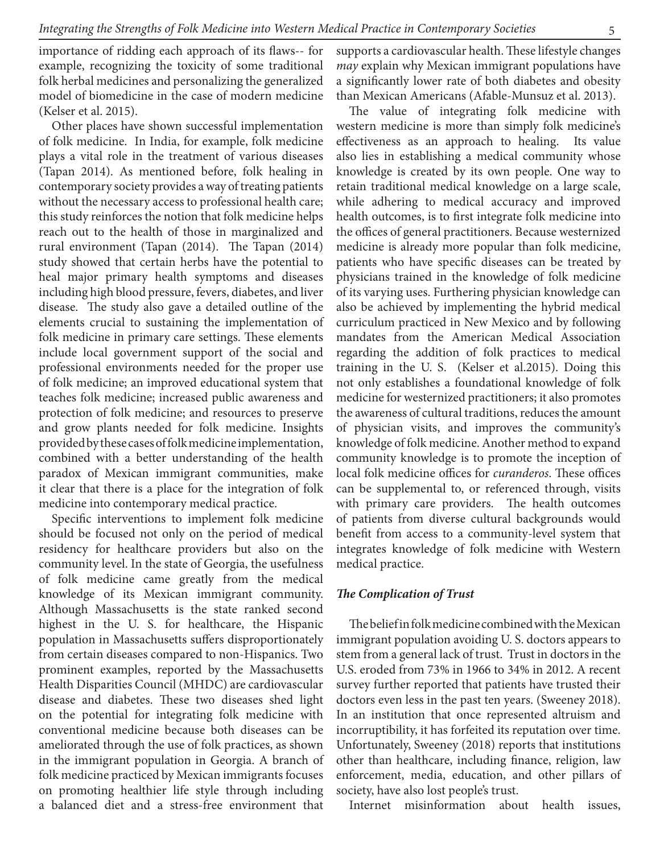importance of ridding each approach of its flaws-- for example, recognizing the toxicity of some traditional folk herbal medicines and personalizing the generalized model of biomedicine in the case of modern medicine (Kelser et al. 2015).

Other places have shown successful implementation of folk medicine. In India, for example, folk medicine plays a vital role in the treatment of various diseases (Tapan 2014). As mentioned before, folk healing in contemporary society provides a way of treating patients without the necessary access to professional health care; this study reinforces the notion that folk medicine helps reach out to the health of those in marginalized and rural environment (Tapan (2014). The Tapan (2014) study showed that certain herbs have the potential to heal major primary health symptoms and diseases including high blood pressure, fevers, diabetes, and liver disease. The study also gave a detailed outline of the elements crucial to sustaining the implementation of folk medicine in primary care settings. These elements include local government support of the social and professional environments needed for the proper use of folk medicine; an improved educational system that teaches folk medicine; increased public awareness and protection of folk medicine; and resources to preserve and grow plants needed for folk medicine. Insights provided by these cases of folk medicine implementation, combined with a better understanding of the health paradox of Mexican immigrant communities, make it clear that there is a place for the integration of folk medicine into contemporary medical practice.

Specific interventions to implement folk medicine should be focused not only on the period of medical residency for healthcare providers but also on the community level. In the state of Georgia, the usefulness of folk medicine came greatly from the medical knowledge of its Mexican immigrant community. Although Massachusetts is the state ranked second highest in the U. S. for healthcare, the Hispanic population in Massachusetts suffers disproportionately from certain diseases compared to non-Hispanics. Two prominent examples, reported by the Massachusetts Health Disparities Council (MHDC) are cardiovascular disease and diabetes. These two diseases shed light on the potential for integrating folk medicine with conventional medicine because both diseases can be ameliorated through the use of folk practices, as shown in the immigrant population in Georgia. A branch of folk medicine practiced by Mexican immigrants focuses on promoting healthier life style through including a balanced diet and a stress-free environment that supports a cardiovascular health. These lifestyle changes *may* explain why Mexican immigrant populations have a significantly lower rate of both diabetes and obesity than Mexican Americans (Afable-Munsuz et al. 2013).

The value of integrating folk medicine with western medicine is more than simply folk medicine's effectiveness as an approach to healing. Its value also lies in establishing a medical community whose knowledge is created by its own people. One way to retain traditional medical knowledge on a large scale, while adhering to medical accuracy and improved health outcomes, is to first integrate folk medicine into the offices of general practitioners. Because westernized medicine is already more popular than folk medicine, patients who have specific diseases can be treated by physicians trained in the knowledge of folk medicine of its varying uses. Furthering physician knowledge can also be achieved by implementing the hybrid medical curriculum practiced in New Mexico and by following mandates from the American Medical Association regarding the addition of folk practices to medical training in the U. S. (Kelser et al.2015). Doing this not only establishes a foundational knowledge of folk medicine for westernized practitioners; it also promotes the awareness of cultural traditions, reduces the amount of physician visits, and improves the community's knowledge of folk medicine. Another method to expand community knowledge is to promote the inception of local folk medicine offices for *curanderos*. These offices can be supplemental to, or referenced through, visits with primary care providers. The health outcomes of patients from diverse cultural backgrounds would benefit from access to a community-level system that integrates knowledge of folk medicine with Western medical practice.

#### *The Complication of Trust*

The belief in folk medicine combined with the Mexican immigrant population avoiding U. S. doctors appears to stem from a general lack of trust. Trust in doctors in the U.S. eroded from 73% in 1966 to 34% in 2012. A recent survey further reported that patients have trusted their doctors even less in the past ten years. (Sweeney 2018). In an institution that once represented altruism and incorruptibility, it has forfeited its reputation over time. Unfortunately, Sweeney (2018) reports that institutions other than healthcare, including finance, religion, law enforcement, media, education, and other pillars of society, have also lost people's trust.

Internet misinformation about health issues,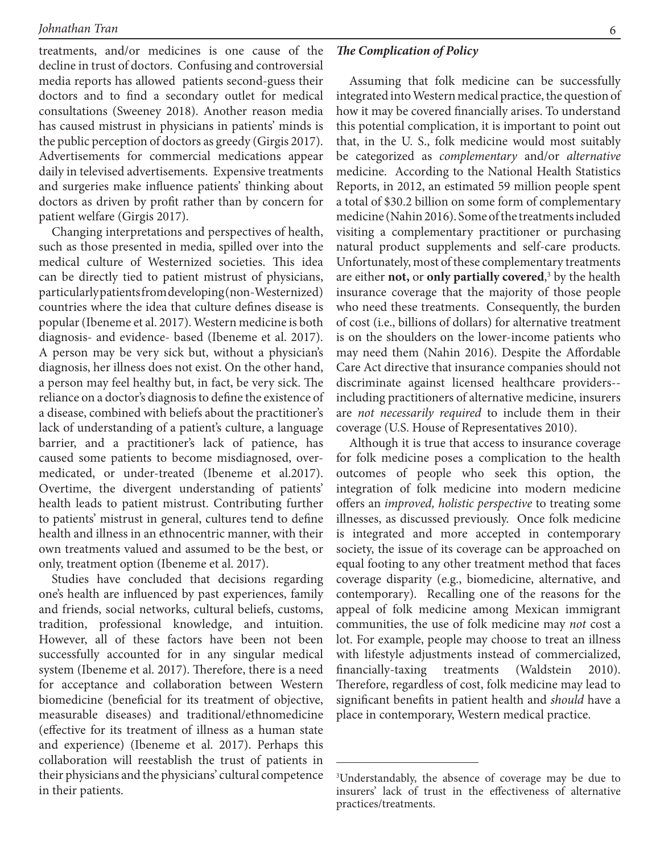treatments, and/or medicines is one cause of the decline in trust of doctors. Confusing and controversial media reports has allowed patients second-guess their doctors and to find a secondary outlet for medical consultations (Sweeney 2018). Another reason media has caused mistrust in physicians in patients' minds is the public perception of doctors as greedy (Girgis 2017). Advertisements for commercial medications appear daily in televised advertisements. Expensive treatments and surgeries make influence patients' thinking about doctors as driven by profit rather than by concern for patient welfare (Girgis 2017).

Changing interpretations and perspectives of health, such as those presented in media, spilled over into the medical culture of Westernized societies. This idea can be directly tied to patient mistrust of physicians, particularly patients from developing (non-Westernized) countries where the idea that culture defines disease is popular (Ibeneme et al. 2017). Western medicine is both diagnosis- and evidence- based (Ibeneme et al. 2017). A person may be very sick but, without a physician's diagnosis, her illness does not exist. On the other hand, a person may feel healthy but, in fact, be very sick. The reliance on a doctor's diagnosis to define the existence of a disease, combined with beliefs about the practitioner's lack of understanding of a patient's culture, a language barrier, and a practitioner's lack of patience, has caused some patients to become misdiagnosed, overmedicated, or under-treated (Ibeneme et al.2017). Overtime, the divergent understanding of patients' health leads to patient mistrust. Contributing further to patients' mistrust in general, cultures tend to define health and illness in an ethnocentric manner, with their own treatments valued and assumed to be the best, or only, treatment option (Ibeneme et al. 2017).

Studies have concluded that decisions regarding one's health are influenced by past experiences, family and friends, social networks, cultural beliefs, customs, tradition, professional knowledge, and intuition. However, all of these factors have been not been successfully accounted for in any singular medical system (Ibeneme et al. 2017). Therefore, there is a need for acceptance and collaboration between Western biomedicine (beneficial for its treatment of objective, measurable diseases) and traditional/ethnomedicine (effective for its treatment of illness as a human state and experience) (Ibeneme et al. 2017). Perhaps this collaboration will reestablish the trust of patients in their physicians and the physicians' cultural competence in their patients.

*The Complication of Policy*

Assuming that folk medicine can be successfully integrated into Western medical practice, the question of how it may be covered financially arises. To understand this potential complication, it is important to point out that, in the U. S., folk medicine would most suitably be categorized as *complementary* and/or *alternative*  medicine. According to the National Health Statistics Reports, in 2012, an estimated 59 million people spent a total of \$30.2 billion on some form of complementary medicine (Nahin 2016). Some of the treatments included visiting a complementary practitioner or purchasing natural product supplements and self-care products. Unfortunately, most of these complementary treatments are either **not,** or **only partially covered**, 3 by the health insurance coverage that the majority of those people who need these treatments. Consequently, the burden of cost (i.e., billions of dollars) for alternative treatment is on the shoulders on the lower-income patients who may need them (Nahin 2016). Despite the Affordable Care Act directive that insurance companies should not discriminate against licensed healthcare providers- including practitioners of alternative medicine, insurers are *not necessarily required* to include them in their coverage (U.S. House of Representatives 2010).

Although it is true that access to insurance coverage for folk medicine poses a complication to the health outcomes of people who seek this option, the integration of folk medicine into modern medicine offers an *improved, holistic perspective* to treating some illnesses, as discussed previously. Once folk medicine is integrated and more accepted in contemporary society, the issue of its coverage can be approached on equal footing to any other treatment method that faces coverage disparity (e.g., biomedicine, alternative, and contemporary). Recalling one of the reasons for the appeal of folk medicine among Mexican immigrant communities, the use of folk medicine may *not* cost a lot. For example, people may choose to treat an illness with lifestyle adjustments instead of commercialized, financially-taxing treatments (Waldstein 2010). Therefore, regardless of cost, folk medicine may lead to significant benefits in patient health and *should* have a place in contemporary, Western medical practice.

<sup>3</sup> Understandably, the absence of coverage may be due to insurers' lack of trust in the effectiveness of alternative practices/treatments.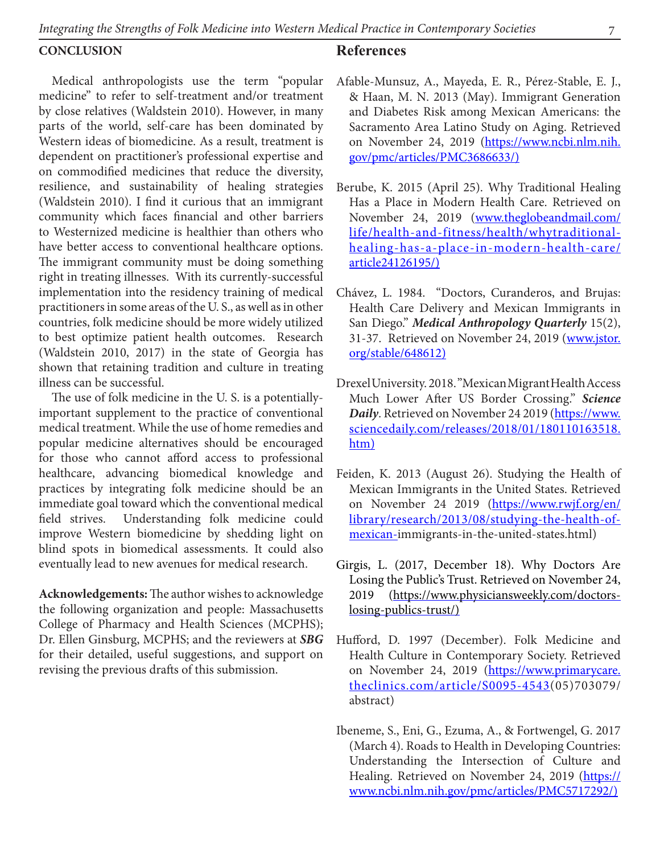#### **CONCLUSION**

Medical anthropologists use the term "popular medicine" to refer to self-treatment and/or treatment by close relatives (Waldstein 2010). However, in many parts of the world, self-care has been dominated by Western ideas of biomedicine. As a result, treatment is dependent on practitioner's professional expertise and on commodified medicines that reduce the diversity, resilience, and sustainability of healing strategies (Waldstein 2010). I find it curious that an immigrant community which faces financial and other barriers to Westernized medicine is healthier than others who have better access to conventional healthcare options. The immigrant community must be doing something right in treating illnesses. With its currently-successful implementation into the residency training of medical practitioners in some areas of the U. S., as well as in other countries, folk medicine should be more widely utilized to best optimize patient health outcomes. Research (Waldstein 2010, 2017) in the state of Georgia has shown that retaining tradition and culture in treating illness can be successful.

The use of folk medicine in the U. S. is a potentiallyimportant supplement to the practice of conventional medical treatment. While the use of home remedies and popular medicine alternatives should be encouraged for those who cannot afford access to professional healthcare, advancing biomedical knowledge and practices by integrating folk medicine should be an immediate goal toward which the conventional medical field strives. Understanding folk medicine could improve Western biomedicine by shedding light on blind spots in biomedical assessments. It could also eventually lead to new avenues for medical research.

**Acknowledgements:** The author wishes to acknowledge the following organization and people: Massachusetts College of Pharmacy and Health Sciences (MCPHS); Dr. Ellen Ginsburg, MCPHS; and the reviewers at *SBG* for their detailed, useful suggestions, and support on revising the previous drafts of this submission.

### **References**

- Afable-Munsuz, A., Mayeda, E. R., Pérez-Stable, E. J., & Haan, M. N. 2013 (May). Immigrant Generation and Diabetes Risk among Mexican Americans: the Sacramento Area Latino Study on Aging. Retrieved on November 24, 2019 (https://www.ncbi.nlm.nih. gov/pmc/articles/PMC3686633/)
- Berube, K. 2015 (April 25). Why Traditional Healing Has a Place in Modern Health Care. Retrieved on November 24, 2019 (www.theglobeandmail.com/ life/health-and-fitness/health/whytraditionalhealing-has-a-place-in-modern-health-care/ article24126195/)
- Chávez, L. 1984. "Doctors, Curanderos, and Brujas: Health Care Delivery and Mexican Immigrants in San Diego." *Medical Anthropology Quarterly* 15(2), 31-37. Retrieved on November 24, 2019 (www.jstor. org/stable/648612)
- Drexel University. 2018. "Mexican Migrant Health Access Much Lower After US Border Crossing." *Science Daily*. Retrieved on November 24 2019 (https://www. sciencedaily.com/releases/2018/01/180110163518. htm)
- Feiden, K. 2013 (August 26). Studying the Health of Mexican Immigrants in the United States. Retrieved on November 24 2019 (https://www.rwjf.org/en/ library/research/2013/08/studying-the-health-ofmexican-immigrants-in-the-united-states.html)
- Girgis, L. (2017, December 18). Why Doctors Are Losing the Public's Trust. Retrieved on November 24, 2019 (https://www.physiciansweekly.com/doctorslosing-publics-trust/)
- Hufford, D. 1997 (December). Folk Medicine and Health Culture in Contemporary Society. Retrieved on November 24, 2019 (https://www.primarycare. theclinics.com/article/S0095-4543(05)703079/ abstract)
- Ibeneme, S., Eni, G., Ezuma, A., & Fortwengel, G. 2017 (March 4). Roads to Health in Developing Countries: Understanding the Intersection of Culture and Healing. Retrieved on November 24, 2019 (https:// www.ncbi.nlm.nih.gov/pmc/articles/PMC5717292/)